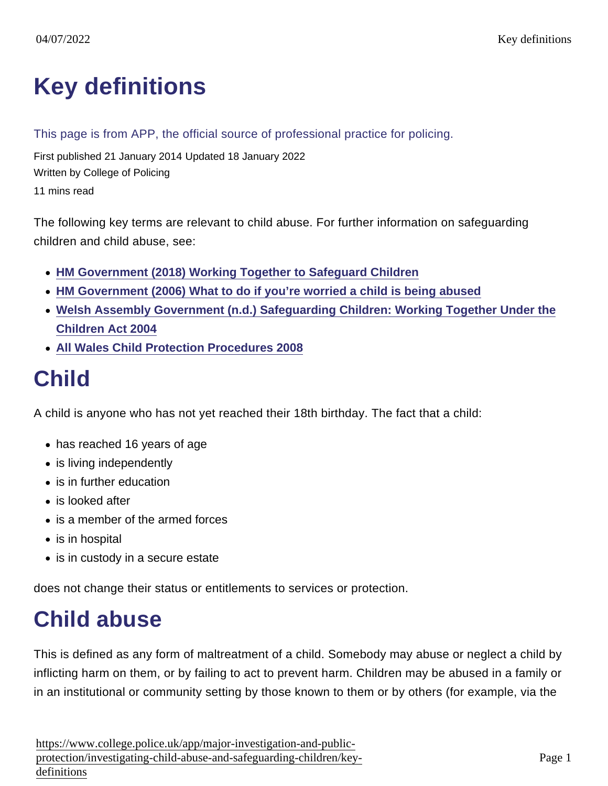# [Key definitions](https://www.college.police.uk/app/major-investigation-and-public-protection/investigating-child-abuse-and-safeguarding-children/key-definitions)

#### This page is from APP, the official source of professional practice for policing.

First published 21 January 2014 Updated 18 January 2022 Written by College of Policing 11 mins read

The following key terms are relevant to child abuse. For further information on safeguarding children and child abuse, see:

- [HM Government \(2018\) Working Together to Safeguard Children](https://assets.publishing.service.gov.uk/government/uploads/system/uploads/attachment_data/file/729914/Working_Together_to_Safeguard_Children-2018.pdf)
- [HM Government \(2006\) What to do if you're worried a child is being abused](https://www.gov.uk/government/uploads/system/uploads/attachment_data/file/190604/DFES-04320-2006-ChildAbuse.pdf)
- [Welsh Assembly Government \(n.d.\) Safeguarding Children: Working Together Under the](http://wales.gov.uk/docs/dhss/publications/091126safeguardingchildrenen.pdf) [Children Act 2004](http://wales.gov.uk/docs/dhss/publications/091126safeguardingchildrenen.pdf)
- [All Wales Child Protection Procedures 2008](https://library.college.police.uk/docs/APPREF/all-wales-child-protection-procedures.pdf)

#### Child

A child is anyone who has not yet reached their 18th birthday. The fact that a child:

- has reached 16 years of age
- is living independently
- is in further education
- is looked after
- is a member of the armed forces
- is in hospital
- is in custody in a secure estate

does not change their status or entitlements to services or protection.

## Child abuse

This is defined as any form of maltreatment of a child. Somebody may abuse or neglect a child by inflicting harm on them, or by failing to act to prevent harm. Children may be abused in a family or in an institutional or community setting by those known to them or by others (for example, via the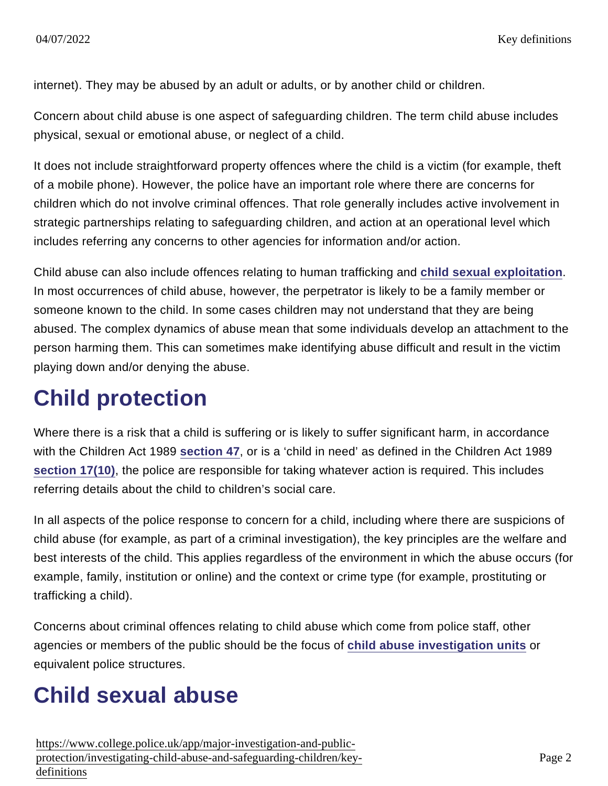internet). They may be abused by an adult or adults, or by another child or children.

Concern about child abuse is one aspect of safeguarding children. The term child abuse includes physical, sexual or emotional abuse, or neglect of a child.

It does not include straightforward property offences where the child is a victim (for example, theft of a mobile phone). However, the police have an important role where there are concerns for children which do not involve criminal offences. That role generally includes active involvement in strategic partnerships relating to safeguarding children, and action at an operational level which includes referring any concerns to other agencies for information and/or action.

Child abuse can also include offences relating to human trafficking and [child sexual exploitation](https://www.app.college.police.uk/app-content/major-investigation-and-public-protection/child-sexual-exploitation/) . In most occurrences of child abuse, however, the perpetrator is likely to be a family member or someone known to the child. In some cases children may not understand that they are being abused. The complex dynamics of abuse mean that some individuals develop an attachment to the person harming them. This can sometimes make identifying abuse difficult and result in the victim playing down and/or denying the abuse.

#### Child protection

Where there is a risk that a child is suffering or is likely to suffer significant harm, in accordance with the Children Act 1989 [section 47](http://www.legislation.gov.uk/ukpga/1989/41/section/47) , or is a 'child in need' as defined in the Children Act 1989 [section 17\(10\)](http://www.legislation.gov.uk/ukpga/1989/41/section/17), the police are responsible for taking whatever action is required. This includes referring details about the child to children's social care.

In all aspects of the police response to concern for a child, including where there are suspicions of child abuse (for example, as part of a criminal investigation), the key principles are the welfare and best interests of the child. This applies regardless of the environment in which the abuse occurs (for example, family, institution or online) and the context or crime type (for example, prostituting or trafficking a child).

Concerns about criminal offences relating to child abuse which come from police staff, other agencies or members of the public should be the focus of [child abuse investigation units](https://www.app.college.police.uk/app-content/major-investigation-and-public-protection/child-abuse/police-response/staffing/#child-abuse-investigation-units) or equivalent police structures.

## Child sexual abuse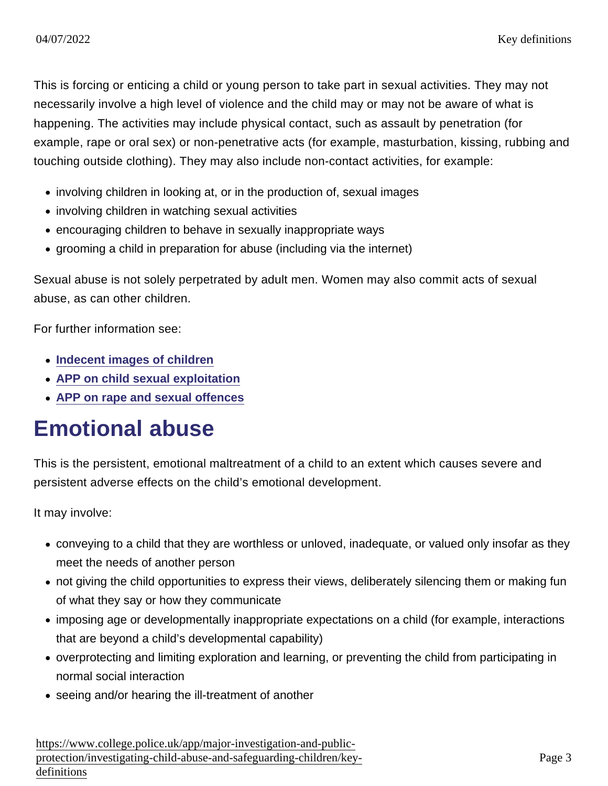This is forcing or enticing a child or young person to take part in sexual activities. They may not necessarily involve a high level of violence and the child may or may not be aware of what is happening. The activities may include physical contact, such as assault by penetration (for example, rape or oral sex) or non-penetrative acts (for example, masturbation, kissing, rubbing and touching outside clothing). They may also include non-contact activities, for example:

- involving children in looking at, or in the production of, sexual images
- involving children in watching sexual activities
- encouraging children to behave in sexually inappropriate ways
- grooming a child in preparation for abuse (including via the internet)

Sexual abuse is not solely perpetrated by adult men. Women may also commit acts of sexual abuse, as can other children.

For further information see:

- [Indecent images of children](https://www.app.college.police.uk/app-content/major-investigation-and-public-protection/child-abuse/police-response/risk-and-associated-investigations/#indecent-images-of-children)
- [APP on child sexual exploitation](https://www.app.college.police.uk/app-content/major-investigation-and-public-protection/child-sexual-exploitation/)
- [APP on rape and sexual offences](https://www.app.college.police.uk/app-content/major-investigation-and-public-protection/rape-and-sexual-offences/)

#### Emotional abuse

This is the persistent, emotional maltreatment of a child to an extent which causes severe and persistent adverse effects on the child's emotional development.

It may involve:

- conveying to a child that they are worthless or unloved, inadequate, or valued only insofar as they meet the needs of another person
- not giving the child opportunities to express their views, deliberately silencing them or making fun of what they say or how they communicate
- imposing age or developmentally inappropriate expectations on a child (for example, interactions that are beyond a child's developmental capability)
- overprotecting and limiting exploration and learning, or preventing the child from participating in normal social interaction
- seeing and/or hearing the ill-treatment of another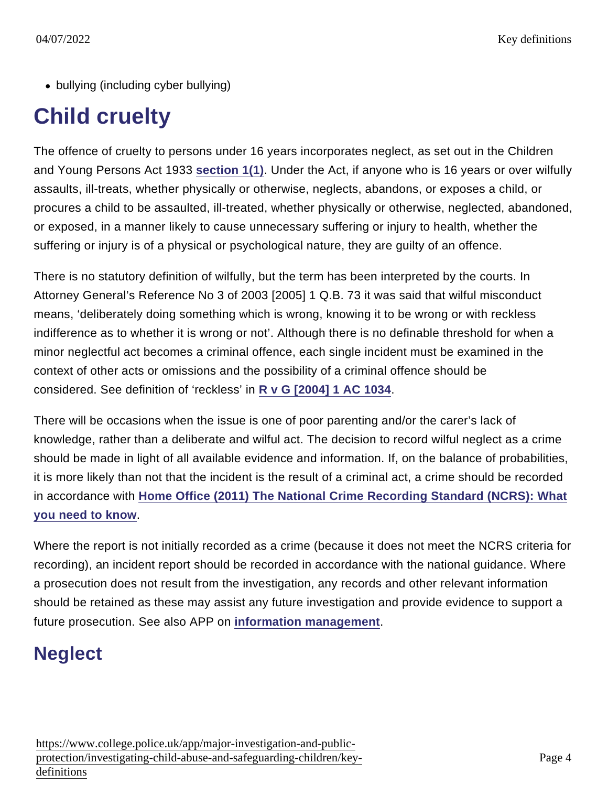• bullying (including cyber bullying)

## Child cruelty

The offence of cruelty to persons under 16 years incorporates neglect, as set out in the Children and Young Persons Act 1933 [section 1\(1\)](http://www.legislation.gov.uk/ukpga/Geo5/23-24/12/section/1) . Under the Act, if anyone who is 16 years or over wilfully assaults, ill-treats, whether physically or otherwise, neglects, abandons, or exposes a child, or procures a child to be assaulted, ill-treated, whether physically or otherwise, neglected, abandoned, or exposed, in a manner likely to cause unnecessary suffering or injury to health, whether the suffering or injury is of a physical or psychological nature, they are guilty of an offence.

There is no statutory definition of wilfully, but the term has been interpreted by the courts. In Attorney General's Reference No 3 of 2003 [2005] 1 Q.B. 73 it was said that wilful misconduct means, 'deliberately doing something which is wrong, knowing it to be wrong or with reckless indifference as to whether it is wrong or not'. Although there is no definable threshold for when a minor neglectful act becomes a criminal offence, each single incident must be examined in the context of other acts or omissions and the possibility of a criminal offence should be considered. See definition of 'reckless' in [R v G \[2004\] 1 AC 1034](http://www.bailii.org/uk/cases/UKHL/2003/50.html) .

There will be occasions when the issue is one of poor parenting and/or the carer's lack of knowledge, rather than a deliberate and wilful act. The decision to record wilful neglect as a crime should be made in light of all available evidence and information. If, on the balance of probabilities, it is more likely than not that the incident is the result of a criminal act, a crime should be recorded in accordance with [Home Office \(2011\) The National Crime Recording Standard \(NCRS\): What](https://www.gov.uk/government/uploads/system/uploads/attachment_data/file/116269/ncrs.pdf) [you need to know](https://www.gov.uk/government/uploads/system/uploads/attachment_data/file/116269/ncrs.pdf) .

Where the report is not initially recorded as a crime (because it does not meet the NCRS criteria for recording), an incident report should be recorded in accordance with the national guidance. Where a prosecution does not result from the investigation, any records and other relevant information should be retained as these may assist any future investigation and provide evidence to support a future prosecution. See also APP on [information management](https://www.app.college.police.uk/app-content/information-management/?s=) .

#### **Neglect**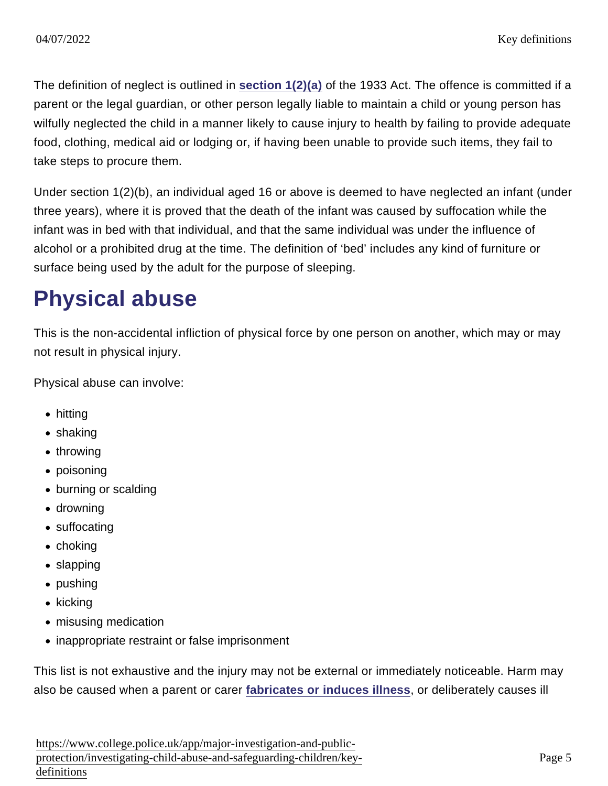The definition of neglect is outlined in [section 1\(2\)\(a\)](http://www.legislation.gov.uk/ukpga/Geo5/23-24/12/section/1) of the 1933 Act. The offence is committed if a parent or the legal guardian, or other person legally liable to maintain a child or young person has wilfully neglected the child in a manner likely to cause injury to health by failing to provide adequate food, clothing, medical aid or lodging or, if having been unable to provide such items, they fail to take steps to procure them.

Under section 1(2)(b), an individual aged 16 or above is deemed to have neglected an infant (under three years), where it is proved that the death of the infant was caused by suffocation while the infant was in bed with that individual, and that the same individual was under the influence of alcohol or a prohibited drug at the time. The definition of 'bed' includes any kind of furniture or surface being used by the adult for the purpose of sleeping.

#### Physical abuse

This is the non-accidental infliction of physical force by one person on another, which may or may not result in physical injury.

Physical abuse can involve:

- hitting
- shaking
- throwing
- poisoning
- burning or scalding
- drowning
- suffocating
- $\bullet$  choking
- slapping
- pushing
- $\bullet$  kicking
- misusing medication
- inappropriate restraint or false imprisonment

This list is not exhaustive and the injury may not be external or immediately noticeable. Harm may also be caused when a parent or carer [fabricates or induces illness](https://www.app.college.police.uk/app-content/major-investigation-and-public-protection/child-abuse/police-response/risk-and-associated-investigations/#fabricated-or-induced-illness) , or deliberately causes ill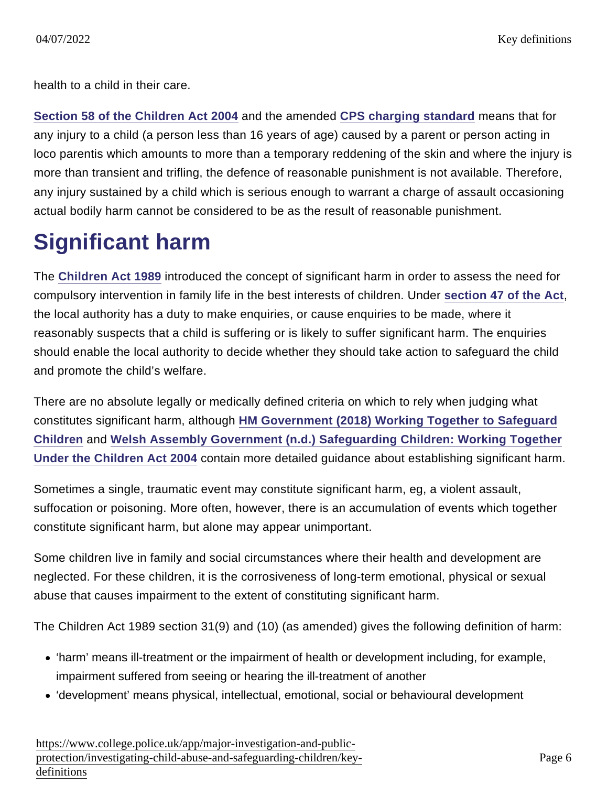health to a child in their care.

[Section 58 of the Children Act 2004](http://www.legislation.gov.uk/ukpga/2004/31/section/58) and the amended [CPS charging standard](http://www.cps.gov.uk/legal/l_to_o/offences_against_the_person/#a08) means that for any injury to a child (a person less than 16 years of age) caused by a parent or person acting in loco parentis which amounts to more than a temporary reddening of the skin and where the injury is more than transient and trifling, the defence of reasonable punishment is not available. Therefore, any injury sustained by a child which is serious enough to warrant a charge of assault occasioning actual bodily harm cannot be considered to be as the result of reasonable punishment.

#### Significant harm

The [Children Act 1989](http://www.legislation.gov.uk/ukpga/1989/41/contents) introduced the concept of significant harm in order to assess the need for compulsory intervention in family life in the best interests of children. Under [section 47 of the Act](http://www.legislation.gov.uk/ukpga/1989/41/section/47) , the local authority has a duty to make enquiries, or cause enquiries to be made, where it reasonably suspects that a child is suffering or is likely to suffer significant harm. The enquiries should enable the local authority to decide whether they should take action to safeguard the child and promote the child's welfare.

There are no absolute legally or medically defined criteria on which to rely when judging what constitutes significant harm, although [HM Government \(2018\) Working Together to Safeguard](https://www.gov.uk/government/publications/working-together-to-safeguard-children--2) [Children](https://www.gov.uk/government/publications/working-together-to-safeguard-children--2) and [Welsh Assembly Government \(n.d.\) Safeguarding Children: Working Together](http://wales.gov.uk/docs/dhss/publications/091126safeguardingchildrenen.pdf) [Under the Children Act 2004](http://wales.gov.uk/docs/dhss/publications/091126safeguardingchildrenen.pdf) contain more detailed guidance about establishing significant harm.

Sometimes a single, traumatic event may constitute significant harm, eg, a violent assault, suffocation or poisoning. More often, however, there is an accumulation of events which together constitute significant harm, but alone may appear unimportant.

Some children live in family and social circumstances where their health and development are neglected. For these children, it is the corrosiveness of long-term emotional, physical or sexual abuse that causes impairment to the extent of constituting significant harm.

The Children Act 1989 section 31(9) and (10) (as amended) gives the following definition of harm:

- 'harm' means ill-treatment or the impairment of health or development including, for example, impairment suffered from seeing or hearing the ill-treatment of another
- 'development' means physical, intellectual, emotional, social or behavioural development